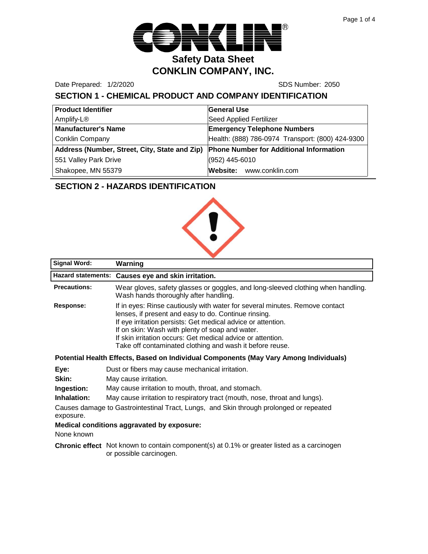

Date Prepared: 1/2/2020 SDS Number: 2050

# **SECTION 1 - CHEMICAL PRODUCT AND COMPANY IDENTIFICATION**

| <b>Product Identifier</b>                     | <b>General Use</b>                               |
|-----------------------------------------------|--------------------------------------------------|
| Amplify-L®                                    | <b>Seed Applied Fertilizer</b>                   |
| <b>Manufacturer's Name</b>                    | <b>Emergency Telephone Numbers</b>               |
| <b>Conklin Company</b>                        | Health: (888) 786-0974 Transport: (800) 424-9300 |
| Address (Number, Street, City, State and Zip) | <b>Phone Number for Additional Information</b>   |
| 551 Valley Park Drive                         | (952) 445-6010                                   |
| Shakopee, MN 55379                            | Website: www.conklin.com                         |

## **SECTION 2 - HAZARDS IDENTIFICATION**



| <b>Signal Word:</b>                                                                                 | Warning                                                                                                                                                                                                                                                                                                                                                                           |  |
|-----------------------------------------------------------------------------------------------------|-----------------------------------------------------------------------------------------------------------------------------------------------------------------------------------------------------------------------------------------------------------------------------------------------------------------------------------------------------------------------------------|--|
|                                                                                                     | Hazard statements: Causes eye and skin irritation.                                                                                                                                                                                                                                                                                                                                |  |
| <b>Precautions:</b>                                                                                 | Wear gloves, safety glasses or goggles, and long-sleeved clothing when handling.<br>Wash hands thoroughly after handling.                                                                                                                                                                                                                                                         |  |
| Response:                                                                                           | If in eyes: Rinse cautiously with water for several minutes. Remove contact<br>lenses, if present and easy to do. Continue rinsing.<br>If eye irritation persists: Get medical advice or attention.<br>If on skin: Wash with plenty of soap and water.<br>If skin irritation occurs: Get medical advice or attention.<br>Take off contaminated clothing and wash it before reuse. |  |
| Potential Health Effects, Based on Individual Components (May Vary Among Individuals)               |                                                                                                                                                                                                                                                                                                                                                                                   |  |
| Eye:                                                                                                | Dust or fibers may cause mechanical irritation.                                                                                                                                                                                                                                                                                                                                   |  |
| Skin:                                                                                               | May cause irritation.                                                                                                                                                                                                                                                                                                                                                             |  |
| Ingestion:                                                                                          | May cause irritation to mouth, throat, and stomach.                                                                                                                                                                                                                                                                                                                               |  |
| Inhalation:                                                                                         | May cause irritation to respiratory tract (mouth, nose, throat and lungs).                                                                                                                                                                                                                                                                                                        |  |
| Causes damage to Gastrointestinal Tract, Lungs, and Skin through prolonged or repeated<br>exposure. |                                                                                                                                                                                                                                                                                                                                                                                   |  |
| None known                                                                                          | Medical conditions aggravated by exposure:                                                                                                                                                                                                                                                                                                                                        |  |
|                                                                                                     | Chronic effect Not known to contain component(s) at 0.1% or greater listed as a carcinogen<br>or possible carcinogen.                                                                                                                                                                                                                                                             |  |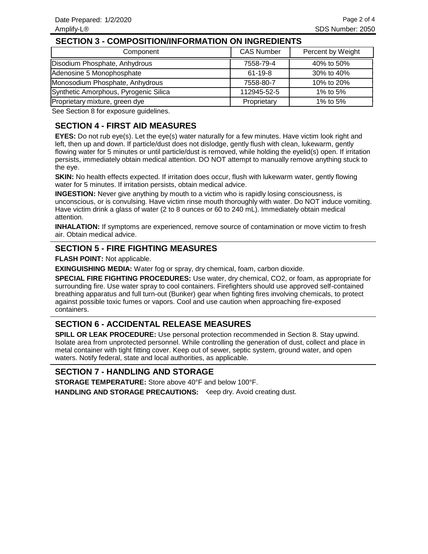#### **SECTION 3 - COMPOSITION/INFORMATION ON INGREDIENTS**

| Component                             | <b>CAS Number</b> | Percent by Weight |
|---------------------------------------|-------------------|-------------------|
| Disodium Phosphate, Anhydrous         | 7558-79-4         | 40% to 50%        |
| Adenosine 5 Monophosphate             | $61 - 19 - 8$     | 30% to 40%        |
| Monosodium Phosphate, Anhydrous       | 7558-80-7         | 10% to 20%        |
| Synthetic Amorphous, Pyrogenic Silica | 112945-52-5       | 1% to 5%          |
| Proprietary mixture, green dye        | Proprietary       | 1% to 5%          |

See Section 8 for exposure guidelines.

## **SECTION 4 - FIRST AID MEASURES**

**EYES:** Do not rub eye(s). Let the eye(s) water naturally for a few minutes. Have victim look right and left, then up and down. If particle/dust does not dislodge, gently flush with clean, lukewarm, gently flowing water for 5 minutes or until particle/dust is removed, while holding the eyelid(s) open. If irritation persists, immediately obtain medical attention. DO NOT attempt to manually remove anything stuck to the eye.

**SKIN:** No health effects expected. If irritation does occur, flush with lukewarm water, gently flowing water for 5 minutes. If irritation persists, obtain medical advice.

**INGESTION:** Never give anything by mouth to a victim who is rapidly losing consciousness, is unconscious, or is convulsing. Have victim rinse mouth thoroughly with water. Do NOT induce vomiting. Have victim drink a glass of water (2 to 8 ounces or 60 to 240 mL). Immediately obtain medical attention.

**INHALATION:** If symptoms are experienced, remove source of contamination or move victim to fresh air. Obtain medical advice.

#### **SECTION 5 - FIRE FIGHTING MEASURES**

**FLASH POINT:** Not applicable.

**EXINGUISHING MEDIA:** Water fog or spray, dry chemical, foam, carbon dioxide.

**SPECIAL FIRE FIGHTING PROCEDURES:** Use water, dry chemical, CO2, or foam, as appropriate for surrounding fire. Use water spray to cool containers. Firefighters should use approved self-contained breathing apparatus and full turn-out (Bunker) gear when fighting fires involving chemicals, to protect against possible toxic fumes or vapors. Cool and use caution when approaching fire-exposed containers.

### **SECTION 6 - ACCIDENTAL RELEASE MEASURES**

**SPILL OR LEAK PROCEDURE:** Use personal protection recommended in Section 8. Stay upwind. Isolate area from unprotected personnel. While controlling the generation of dust, collect and place in metal container with tight fitting cover. Keep out of sewer, septic system, ground water, and open waters. Notify federal, state and local authorities, as applicable.

#### **SECTION 7 - HANDLING AND STORAGE**

HANDLING AND STORAGE PRECAUTIONS: Keep dry. Avoid creating dust. **STORAGE TEMPERATURE:** Store above 40°F and below 100°F.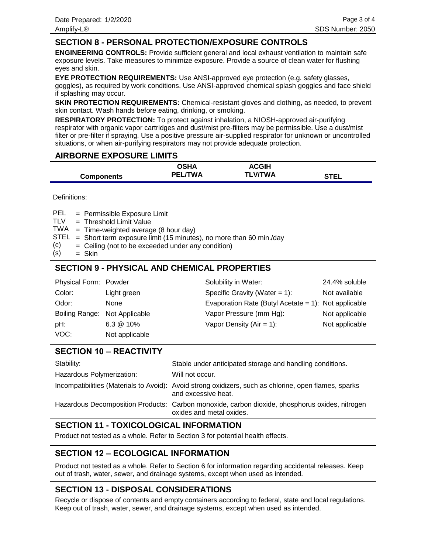#### **SECTION 8 - PERSONAL PROTECTION/EXPOSURE CONTROLS**

**ENGINEERING CONTROLS:** Provide sufficient general and local exhaust ventilation to maintain safe exposure levels. Take measures to minimize exposure. Provide a source of clean water for flushing eyes and skin.

**EYE PROTECTION REQUIREMENTS:** Use ANSI-approved eye protection (e.g. safety glasses, goggles), as required by work conditions. Use ANSI-approved chemical splash goggles and face shield if splashing may occur.

**SKIN PROTECTION REQUIREMENTS:** Chemical-resistant gloves and clothing, as needed, to prevent skin contact. Wash hands before eating, drinking, or smoking.

**RESPIRATORY PROTECTION:** To protect against inhalation, a NIOSH-approved air-purifying respirator with organic vapor cartridges and dust/mist pre-filters may be permissible. Use a dust/mist filter or pre-filter if spraying. Use a positive pressure air-supplied respirator for unknown or uncontrolled situations, or when air-purifying respirators may not provide adequate protection.

#### **AIRBORNE EXPOSURE LIMITS**

|                   | <b>OSHA</b>    | <b>ACGIH</b>   |             |
|-------------------|----------------|----------------|-------------|
| <b>Components</b> | <b>PEL/TWA</b> | <b>TLV/TWA</b> | <b>STEL</b> |

Definitions:

= Permissible Exposure Limit PEL

- Threshold Limit Value = TLV
- TWA = Time-weighted average (8 hour day)
- $STEL$  = Short term exposure limit (15 minutes), no more than 60 min./day
- Ceiling (not to be exceeded under any condition) = (c)
- Skin = (s)

## **SECTION 9 - PHYSICAL AND CHEMICAL PROPERTIES**

| Physical Form: Powder         |                      | Solubility in Water:                                 | 24.4% soluble  |
|-------------------------------|----------------------|------------------------------------------------------|----------------|
| Color:                        | Light green          | Specific Gravity (Water = $1$ ):                     | Not available  |
| Odor:                         | None                 | Evaporation Rate (Butyl Acetate = 1): Not applicable |                |
| Boiling Range: Not Applicable |                      | Vapor Pressure (mm Hg):                              | Not applicable |
| pH:                           | $6.3 \circledR 10\%$ | Vapor Density $(Air = 1)$ :                          | Not applicable |
| VOC:                          | Not applicable       |                                                      |                |

# **SECTION 10 – REACTIVITY**

| Stability:                | Stable under anticipated storage and handling conditions.                                                                    |
|---------------------------|------------------------------------------------------------------------------------------------------------------------------|
| Hazardous Polymerization: | Will not occur.                                                                                                              |
|                           | Incompatibilities (Materials to Avoid): Avoid strong oxidizers, such as chlorine, open flames, sparks<br>and excessive heat. |
|                           | Hazardous Decomposition Products: Carbon monoxide, carbon dioxide, phosphorus oxides, nitrogen<br>oxides and metal oxides.   |
|                           |                                                                                                                              |

### **SECTION 11 - TOXICOLOGICAL INFORMATION**

Product not tested as a whole. Refer to Section 3 for potential health effects.

### **SECTION 12 – ECOLOGICAL INFORMATION**

Product not tested as a whole. Refer to Section 6 for information regarding accidental releases. Keep out of trash, water, sewer, and drainage systems, except when used as intended.

# **SECTION 13 - DISPOSAL CONSIDERATIONS**

Recycle or dispose of contents and empty containers according to federal, state and local regulations. Keep out of trash, water, sewer, and drainage systems, except when used as intended.